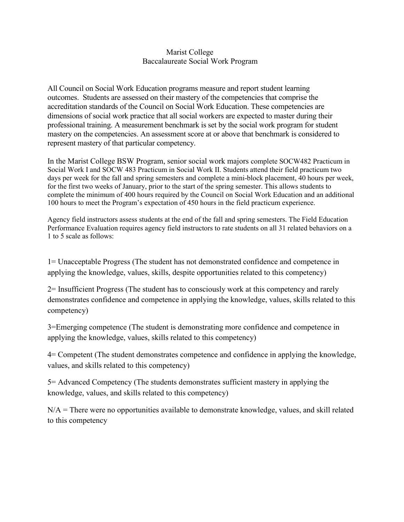## Marist College Baccalaureate Social Work Program

All Council on Social Work Education programs measure and report student learning outcomes. Students are assessed on their mastery of the competencies that comprise the accreditation standards of the Council on Social Work Education. These competencies are dimensions of social work practice that all social workers are expected to master during their professional training. A measurement benchmark is set by the social work program for student mastery on the competencies. An assessment score at or above that benchmark is considered to represent mastery of that particular competency.

In the Marist College BSW Program, senior social work majors complete SOCW482 Practicum in Social Work I and SOCW 483 Practicum in Social Work II. Students attend their field practicum two days per week for the fall and spring semesters and complete a mini-block placement, 40 hours per week, for the first two weeks of January, prior to the start of the spring semester. This allows students to complete the minimum of 400 hours required by the Council on Social Work Education and an additional 100 hours to meet the Program's expectation of 450 hours in the field practicum experience.

Agency field instructors assess students at the end of the fall and spring semesters. The Field Education Performance Evaluation requires agency field instructors to rate students on all 31 related behaviors on a 1 to 5 scale as follows:

1= Unacceptable Progress (The student has not demonstrated confidence and competence in applying the knowledge, values, skills, despite opportunities related to this competency)

2= Insufficient Progress (The student has to consciously work at this competency and rarely demonstrates confidence and competence in applying the knowledge, values, skills related to this competency)

3=Emerging competence (The student is demonstrating more confidence and competence in applying the knowledge, values, skills related to this competency)

4= Competent (The student demonstrates competence and confidence in applying the knowledge, values, and skills related to this competency)

5= Advanced Competency (The students demonstrates sufficient mastery in applying the knowledge, values, and skills related to this competency)

N/A = There were no opportunities available to demonstrate knowledge, values, and skill related to this competency